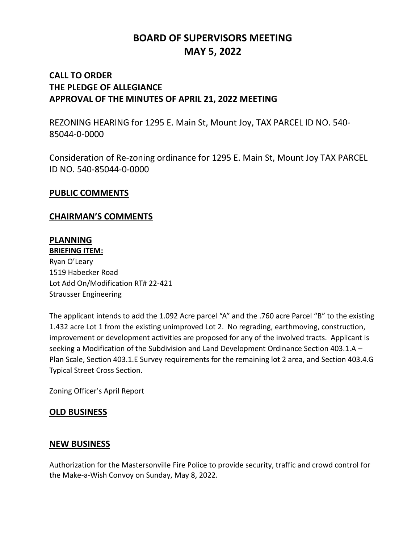# **BOARD OF SUPERVISORS MEETING MAY 5, 2022**

# **CALL TO ORDER THE PLEDGE OF ALLEGIANCE APPROVAL OF THE MINUTES OF APRIL 21, 2022 MEETING**

REZONING HEARING for 1295 E. Main St, Mount Joy, TAX PARCEL ID NO. 540- 85044-0-0000

Consideration of Re-zoning ordinance for 1295 E. Main St, Mount Joy TAX PARCEL ID NO. 540-85044-0-0000

#### **PUBLIC COMMENTS**

### **CHAIRMAN'S COMMENTS**

# **PLANNING**

**BRIEFING ITEM:** Ryan O'Leary 1519 Habecker Road Lot Add On/Modification RT# 22-421 Strausser Engineering

The applicant intends to add the 1.092 Acre parcel "A" and the .760 acre Parcel "B" to the existing 1.432 acre Lot 1 from the existing unimproved Lot 2. No regrading, earthmoving, construction, improvement or development activities are proposed for any of the involved tracts. Applicant is seeking a Modification of the Subdivision and Land Development Ordinance Section 403.1.A – Plan Scale, Section 403.1.E Survey requirements for the remaining lot 2 area, and Section 403.4.G Typical Street Cross Section.

Zoning Officer's April Report

### **OLD BUSINESS**

### **NEW BUSINESS**

Authorization for the Mastersonville Fire Police to provide security, traffic and crowd control for the Make-a-Wish Convoy on Sunday, May 8, 2022.